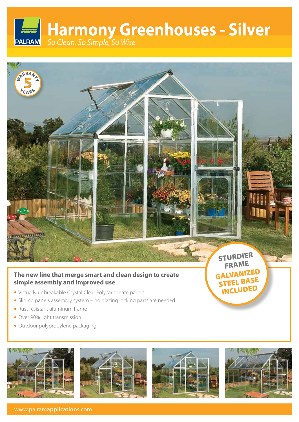# **Harmony Greenhouses - Silver PALRAM** *So Clean, So Simple, So Wise*



# **The new line that merge smart and clean design to create simple assembly and improved use**

- Virtually unbreakable Crystal Clear Polycarbonate panels
- Sliding panels assembly system no glazing locking parts are needed
- Rust resistant aluminum frame
- Over 90% light transmission
- Outdoor polypropylene packaging









STEEL BASE INCLUDED